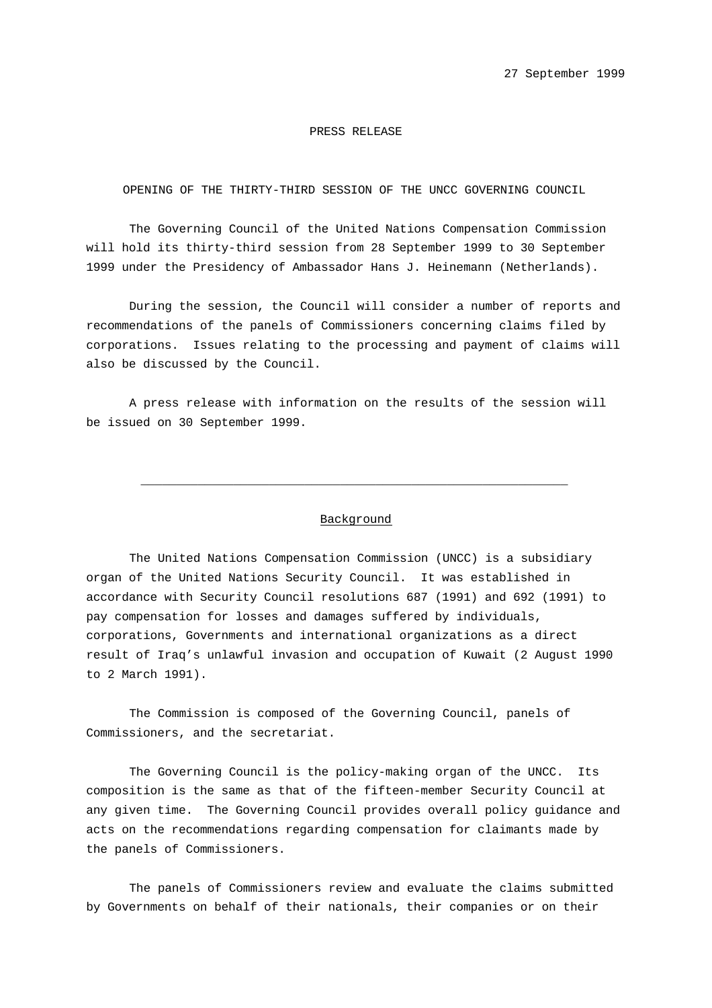## PRESS RELEASE

## OPENING OF THE THIRTY-THIRD SESSION OF THE UNCC GOVERNING COUNCIL

The Governing Council of the United Nations Compensation Commission will hold its thirty-third session from 28 September 1999 to 30 September 1999 under the Presidency of Ambassador Hans J. Heinemann (Netherlands).

During the session, the Council will consider a number of reports and recommendations of the panels of Commissioners concerning claims filed by corporations. Issues relating to the processing and payment of claims will also be discussed by the Council.

A press release with information on the results of the session will be issued on 30 September 1999.

## Background

 $\overline{\phantom{a}}$  , and the contract of the contract of the contract of the contract of the contract of the contract of the contract of the contract of the contract of the contract of the contract of the contract of the contrac

The United Nations Compensation Commission (UNCC) is a subsidiary organ of the United Nations Security Council. It was established in accordance with Security Council resolutions 687 (1991) and 692 (1991) to pay compensation for losses and damages suffered by individuals, corporations, Governments and international organizations as a direct result of Iraq's unlawful invasion and occupation of Kuwait (2 August 1990 to 2 March 1991).

The Commission is composed of the Governing Council, panels of Commissioners, and the secretariat.

The Governing Council is the policy-making organ of the UNCC. Its composition is the same as that of the fifteen-member Security Council at any given time. The Governing Council provides overall policy guidance and acts on the recommendations regarding compensation for claimants made by the panels of Commissioners.

The panels of Commissioners review and evaluate the claims submitted by Governments on behalf of their nationals, their companies or on their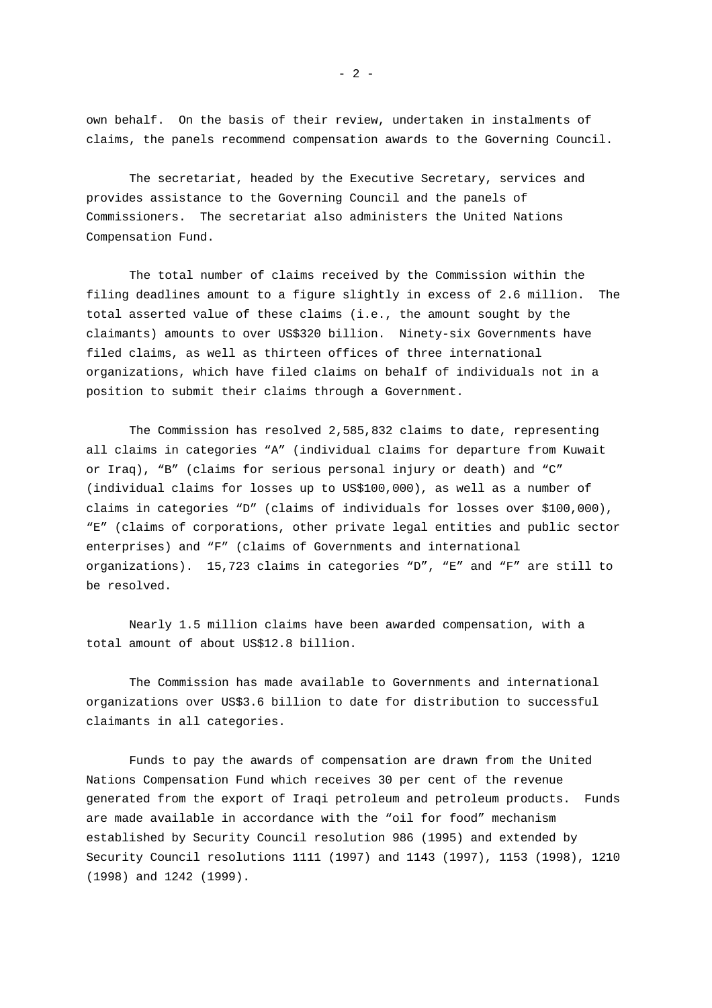own behalf. On the basis of their review, undertaken in instalments of claims, the panels recommend compensation awards to the Governing Council.

The secretariat, headed by the Executive Secretary, services and provides assistance to the Governing Council and the panels of Commissioners. The secretariat also administers the United Nations Compensation Fund.

The total number of claims received by the Commission within the filing deadlines amount to a figure slightly in excess of 2.6 million. The total asserted value of these claims (i.e., the amount sought by the claimants) amounts to over US\$320 billion. Ninety-six Governments have filed claims, as well as thirteen offices of three international organizations, which have filed claims on behalf of individuals not in a position to submit their claims through a Government.

The Commission has resolved 2,585,832 claims to date, representing all claims in categories "A" (individual claims for departure from Kuwait or Iraq), "B" (claims for serious personal injury or death) and "C" (individual claims for losses up to US\$100,000), as well as a number of claims in categories "D" (claims of individuals for losses over \$100,000), "E" (claims of corporations, other private legal entities and public sector enterprises) and "F" (claims of Governments and international organizations). 15,723 claims in categories "D", "E" and "F" are still to be resolved.

Nearly 1.5 million claims have been awarded compensation, with a total amount of about US\$12.8 billion.

The Commission has made available to Governments and international organizations over US\$3.6 billion to date for distribution to successful claimants in all categories.

Funds to pay the awards of compensation are drawn from the United Nations Compensation Fund which receives 30 per cent of the revenue generated from the export of Iraqi petroleum and petroleum products. Funds are made available in accordance with the "oil for food" mechanism established by Security Council resolution 986 (1995) and extended by Security Council resolutions 1111 (1997) and 1143 (1997), 1153 (1998), 1210 (1998) and 1242 (1999).

 $- 2 -$